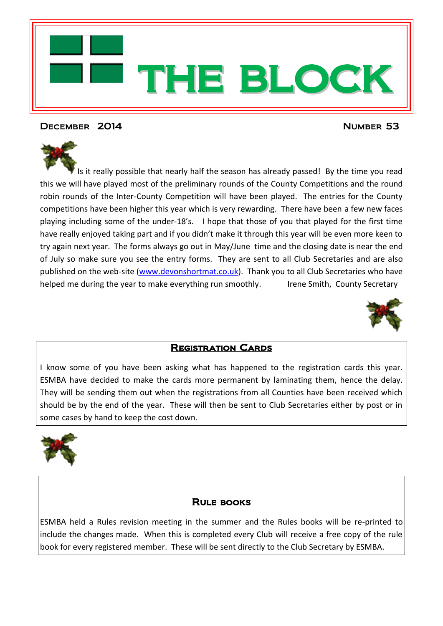

# December 2014 Number 53

Is it really possible that nearly half the season has already passed! By the time you read this we will have played most of the preliminary rounds of the County Competitions and the round robin rounds of the Inter-County Competition will have been played. The entries for the County competitions have been higher this year which is very rewarding. There have been a few new faces playing including some of the under-18's. I hope that those of you that played for the first time have really enjoyed taking part and if you didn't make it through this year will be even more keen to try again next year. The forms always go out in May/June time and the closing date is near the end of July so make sure you see the entry forms. They are sent to all Club Secretaries and are also published on the web-site [\(www.devonshortmat.co.uk\)](http://www.devonshortmat.co.uk/). Thank you to all Club Secretaries who have helped me during the year to make everything run smoothly. Irene Smith, County Secretary



# Registration Cards

I know some of you have been asking what has happened to the registration cards this year. ESMBA have decided to make the cards more permanent by laminating them, hence the delay. They will be sending them out when the registrations from all Counties have been received which should be by the end of the year. These will then be sent to Club Secretaries either by post or in some cases by hand to keep the cost down.



# Rule books

ESMBA held a Rules revision meeting in the summer and the Rules books will be re-printed to include the changes made. When this is completed every Club will receive a free copy of the rule book for every registered member. These will be sent directly to the Club Secretary by ESMBA.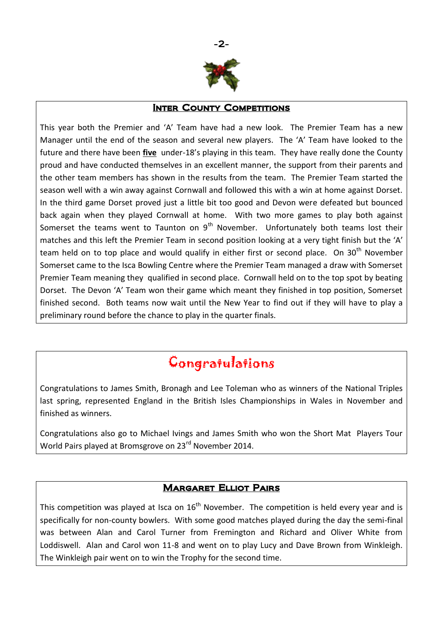

### **INTER COUNTY COMPETITIONS**

This year both the Premier and 'A' Team have had a new look. The Premier Team has a new Manager until the end of the season and several new players. The 'A' Team have looked to the future and there have been **five** under-18's playing in this team. They have really done the County proud and have conducted themselves in an excellent manner, the support from their parents and the other team members has shown in the results from the team. The Premier Team started the season well with a win away against Cornwall and followed this with a win at home against Dorset. In the third game Dorset proved just a little bit too good and Devon were defeated but bounced back again when they played Cornwall at home. With two more games to play both against Somerset the teams went to Taunton on  $9<sup>th</sup>$  November. Unfortunately both teams lost their matches and this left the Premier Team in second position looking at a very tight finish but the 'A' team held on to top place and would qualify in either first or second place. On 30<sup>th</sup> November Somerset came to the Isca Bowling Centre where the Premier Team managed a draw with Somerset Premier Team meaning they qualified in second place. Cornwall held on to the top spot by beating Dorset. The Devon 'A' Team won their game which meant they finished in top position, Somerset finished second. Both teams now wait until the New Year to find out if they will have to play a preliminary round before the chance to play in the quarter finals.

# Congratulations

Congratulations to James Smith, Bronagh and Lee Toleman who as winners of the National Triples last spring, represented England in the British Isles Championships in Wales in November and finished as winners.

Congratulations also go to Michael Ivings and James Smith who won the Short Mat Players Tour World Pairs played at Bromsgrove on 23<sup>rd</sup> November 2014.

# Margaret Elliot Pairs

This competition was played at Isca on  $16<sup>th</sup>$  November. The competition is held every year and is specifically for non-county bowlers. With some good matches played during the day the semi-final was between Alan and Carol Turner from Fremington and Richard and Oliver White from Loddiswell. Alan and Carol won 11-8 and went on to play Lucy and Dave Brown from Winkleigh. The Winkleigh pair went on to win the Trophy for the second time.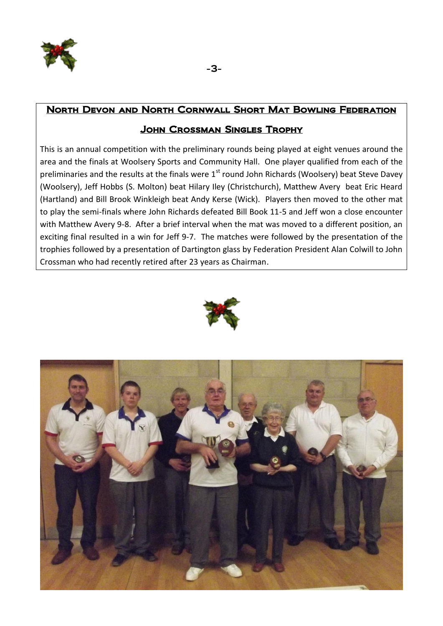

# North Devon and North Cornwall Short Mat Bowling Federation

# John Crossman Singles Trophy

This is an annual competition with the preliminary rounds being played at eight venues around the area and the finals at Woolsery Sports and Community Hall. One player qualified from each of the preliminaries and the results at the finals were  $1<sup>st</sup>$  round John Richards (Woolsery) beat Steve Davey (Woolsery), Jeff Hobbs (S. Molton) beat Hilary Iley (Christchurch), Matthew Avery beat Eric Heard (Hartland) and Bill Brook Winkleigh beat Andy Kerse (Wick). Players then moved to the other mat to play the semi-finals where John Richards defeated Bill Book 11-5 and Jeff won a close encounter with Matthew Avery 9-8. After a brief interval when the mat was moved to a different position, an exciting final resulted in a win for Jeff 9-7. The matches were followed by the presentation of the trophies followed by a presentation of Dartington glass by Federation President Alan Colwill to John Crossman who had recently retired after 23 years as Chairman.